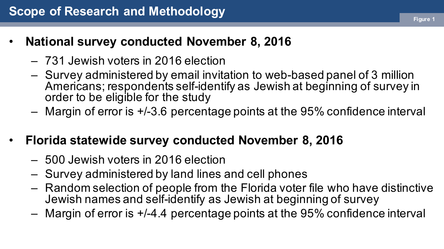- **National survey conducted November 8, 2016**
	- 731 Jewish voters in 2016 election
	- Survey administered by email invitation to web-based panel of 3 million Americans; respondents self-identify as Jewish at beginning of survey in order to be eligible for the study
	- Margin of error is +/-3.6 percentage points at the 95% confidence interval
- **Florida statewide survey conducted November 8, 2016**
	- 500 Jewish voters in 2016 election
	- Survey administered by land lines and cell phones
	- Random selection of people from the Florida voter file who have distinctive Jewish names and self-identify as Jewish at beginning of survey
	- Margin of error is +/-4.4 percentage points at the 95% confidence interval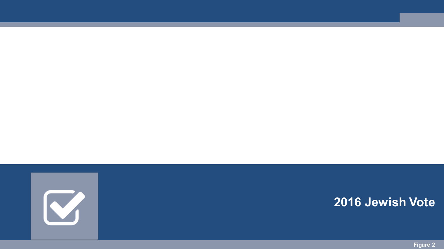

#### **2016 Jewish Vote**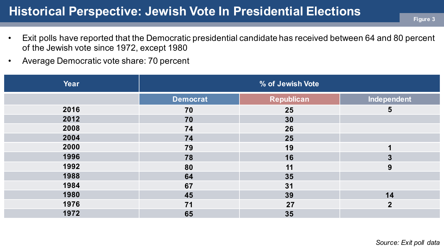#### **Historical Perspective: Jewish Vote In Presidential Elections**

- Exit polls have reported that the Democratic presidential candidate has received between 64 and 80 percent of the Jewish vote since 1972, except 1980
- Average Democratic vote share: 70 percent

| Year | % of Jewish Vote |                   |                |  |  |  |
|------|------------------|-------------------|----------------|--|--|--|
|      | <b>Democrat</b>  | <b>Republican</b> | Independent    |  |  |  |
| 2016 | 70               | 25                | $5\phantom{1}$ |  |  |  |
| 2012 | 70               | 30                |                |  |  |  |
| 2008 | 74               | 26                |                |  |  |  |
| 2004 | 74               | 25                |                |  |  |  |
| 2000 | 79               | 19                |                |  |  |  |
| 1996 | 78               | 16                | 3              |  |  |  |
| 1992 | 80               | 11                | 9              |  |  |  |
| 1988 | 64               | 35                |                |  |  |  |
| 1984 | 67               | 31                |                |  |  |  |
| 1980 | 45               | 39                | 14             |  |  |  |
| 1976 | 71               | 27                | $\overline{2}$ |  |  |  |
| 1972 | 65               | 35                |                |  |  |  |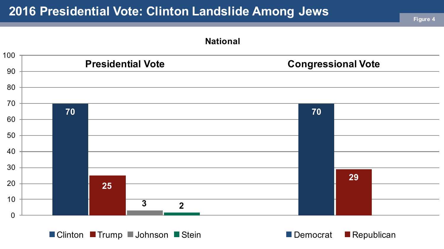

■ Clinton ■ Trump ■ Johnson ■ Stein ■ Democrat ■ Republican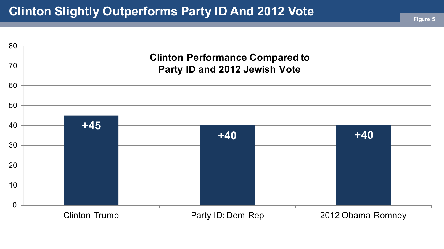# **Clinton Slightly Outperforms Party ID And 2012 Vote Figure 5**

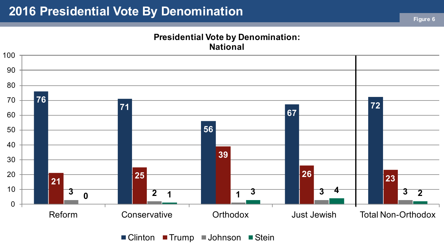#### **Presidential Vote by Denomination: National**



 $\blacksquare$  Clinton  $\blacksquare$  Trump  $\blacksquare$  Johnson  $\blacksquare$  Stein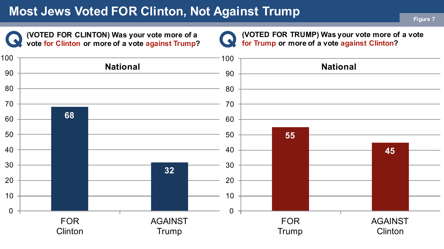# **Most Jews Voted FOR Clinton, Not Against Trump <b>Figure 7** Figure 7

**(VOTED FOR CLINTON) Was your vote more of a vote for Clinton or more of a vote against Trump?**



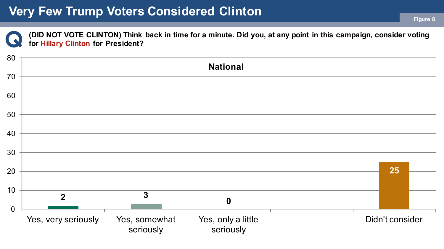**(DID NOT VOTE CLINTON) Think back in time for a minute. Did you, at any point in this campaign, consider voting for Hillary Clinton for President?**

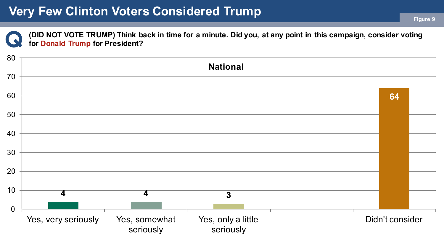**(DID NOT VOTE TRUMP) Think back in time for a minute. Did you, at any point in this campaign, consider voting for Donald Trump for President?**

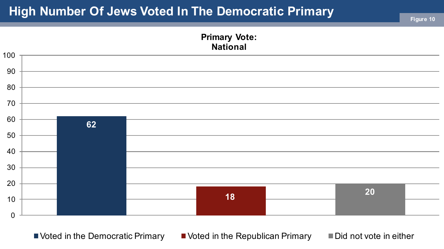# **High Number Of Jews Voted In The Democratic Primary And Mumber Of Jesure 10**



 $\blacksquare$  Voted in the Democratic Primary  $\blacksquare$  Voted in the Republican Primary  $\blacksquare$  Did not vote in either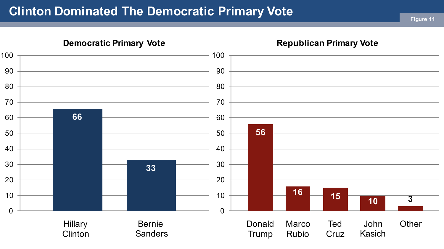# **Clinton Dominated The Democratic Primary Vote Figure 11**

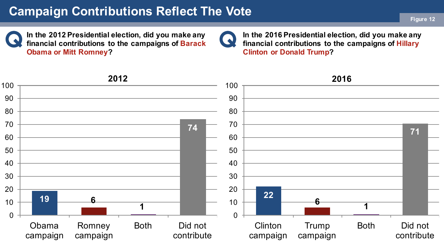# **Campaign Contributions Reflect The Vote Figure 12**

**In the 2012 Presidential election, did you make any financial contributions to the campaigns of Barack Obama or Mitt Romney?**

 $\bullet$ 

**In the 2016 Presidential election, did you make any financial contributions to the campaigns of Hillary Clinton or Donald Trump?**

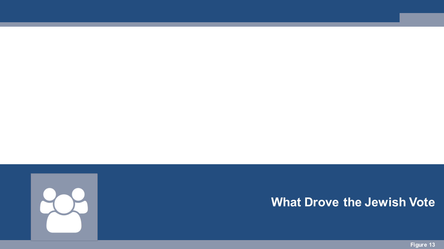

#### **What Drove the Jewish Vote**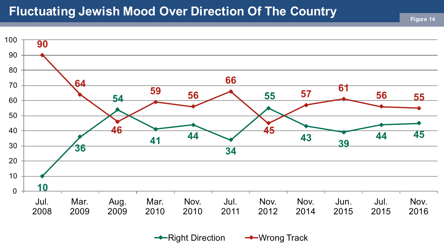#### **Fluctuating Jewish Mood Over Direction Of The Country**



 $\rightarrow$  Right Direction  $\rightarrow$  Wrong Track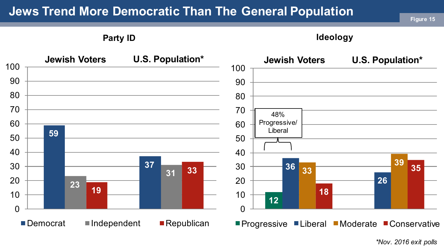# **Jews Trend More Democratic Than The General Population Figure 15 Figure 15**

**Party ID**

**Ideology**



*\*Nov. 2016 exit polls*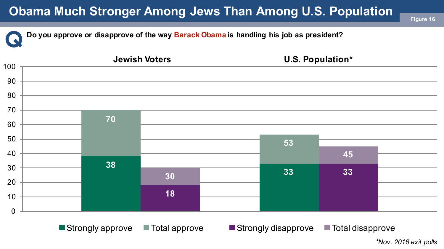# **Obama Much Stronger Among Jews Than Among U.S. Population**

**Do you approve or disapprove of the way Barack Obama is handling his job as president?**



*\*Nov. 2016 exit polls*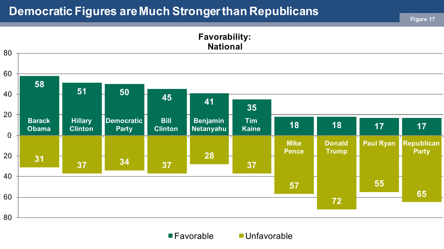# **Democratic Figures are Much Stronger than Republicans Figure 17**



■Favorable **■Unfavorable**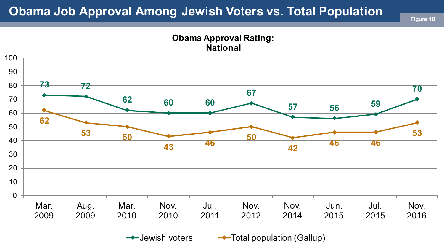#### **Obama Job Approval Among Jewish Voters vs. Total Population**

**Figure 18**

#### **Obama Approval Rating: National**



 $\rightarrow$  Jewish voters  $\rightarrow$  Total population (Gallup)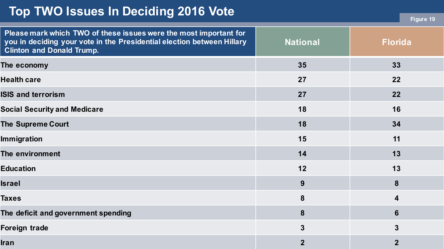#### **Top TWO Issues In Deciding 2016 Vote**

| Please mark which TWO of these issues were the most important for<br>you in deciding your vote in the Presidential election between Hillary<br><b>Clinton and Donald Trump.</b> | <b>National</b> | <b>Florida</b>  |
|---------------------------------------------------------------------------------------------------------------------------------------------------------------------------------|-----------------|-----------------|
| The economy                                                                                                                                                                     | 35              | 33              |
| <b>Health care</b>                                                                                                                                                              | 27              | 22              |
| <b>ISIS and terrorism</b>                                                                                                                                                       | 27              | 22              |
| <b>Social Security and Medicare</b>                                                                                                                                             | 18              | 16              |
| <b>The Supreme Court</b>                                                                                                                                                        | 18              | 34              |
| <b>Immigration</b>                                                                                                                                                              | 15              | 11              |
| The environment                                                                                                                                                                 | 14              | 13              |
| <b>Education</b>                                                                                                                                                                | 12              | 13              |
| Israel                                                                                                                                                                          | 9               | 8               |
| Taxes                                                                                                                                                                           | 8               | 4               |
| The deficit and government spending                                                                                                                                             | 8               | $6\phantom{1}6$ |
| Foreign trade                                                                                                                                                                   | $\mathbf{3}$    | $\mathbf{3}$    |
| Iran                                                                                                                                                                            | $\mathbf{2}$    | $\mathbf{2}$    |

**Figure 19**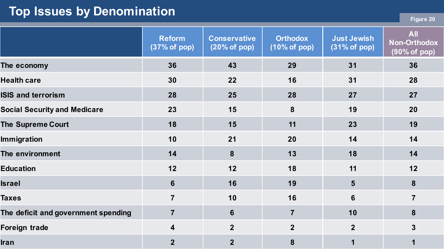## **Top Issues by Denomination**

|  | -raure |  |
|--|--------|--|
|  |        |  |

|                                     | <b>Reform</b><br>(37% of pop) | <b>Conservative</b><br>(20% of pop) | <b>Orthodox</b><br>(10% of pop) | <b>Just Jewish</b><br>$(31\% \text{ of } pop)$ | <b>All</b><br><b>Non-Orthodox</b><br>(90% of pop) |
|-------------------------------------|-------------------------------|-------------------------------------|---------------------------------|------------------------------------------------|---------------------------------------------------|
| The economy                         | 36                            | 43                                  | 29                              | 31                                             | 36                                                |
| <b>Health care</b>                  | 30                            | 22                                  | 16                              | 31                                             | 28                                                |
| <b>ISIS and terrorism</b>           | 28                            | 25                                  | 28                              | 27                                             | 27                                                |
| <b>Social Security and Medicare</b> | 23                            | 15                                  | 8                               | 19                                             | 20                                                |
| <b>The Supreme Court</b>            | 18                            | 15                                  | 11                              | 23                                             | 19                                                |
| <b>Immigration</b>                  | 10                            | 21                                  | 20                              | 14                                             | 14                                                |
| The environment                     | 14                            | 8                                   | 13                              | 18                                             | 14                                                |
| <b>Education</b>                    | 12                            | 12                                  | 18                              | 11                                             | 12                                                |
| <b>Israel</b>                       | 6                             | 16                                  | 19                              | 5 <sup>5</sup>                                 | 8                                                 |
| <b>Taxes</b>                        | $\overline{7}$                | 10                                  | 16                              | $6\phantom{1}$                                 | $\overline{7}$                                    |
| The deficit and government spending | $\overline{7}$                | $6\phantom{1}$                      | $\overline{7}$                  | 10                                             | 8                                                 |
| <b>Foreign trade</b>                | 4                             | $\overline{2}$                      | $\overline{2}$                  | $\overline{2}$                                 | $\overline{3}$                                    |
| <b>Iran</b>                         | $\overline{2}$                | $\overline{2}$                      | 8                               | 1                                              | 1                                                 |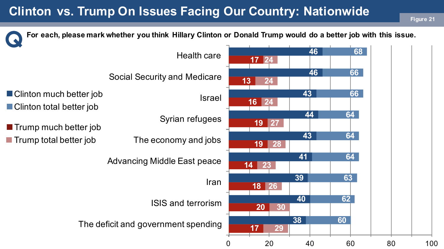# **Clinton vs. Trump On Issues Facing Our Country: Nationwide**

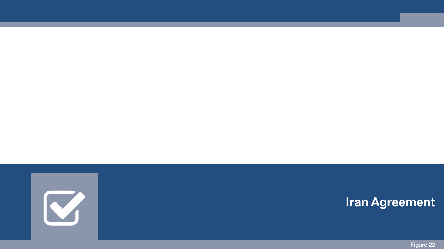

#### **Iran Agreement**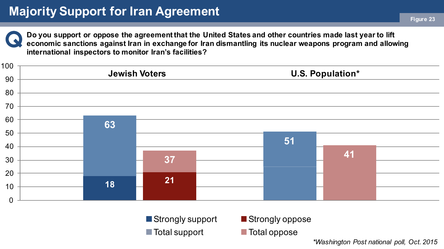

**Do you support or oppose the agreement that the United States and other countries made last year to lift economic sanctions against Iran in exchange for Iran dismantling its nuclear weapons program and allowing international inspectors to monitor Iran's facilities?**



■ Strongly support ■ Strongly oppose ■ Total support Total oppose

*\*Washington Post national poll, Oct. 2015*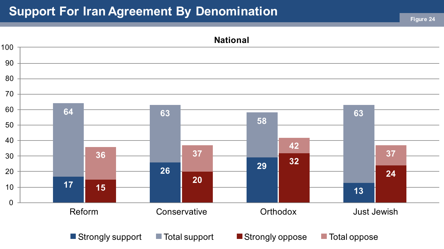# **Support For Iran Agreement By Denomination Figure 24**

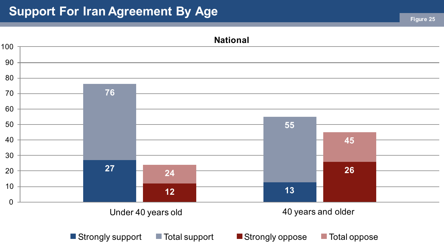# **Support For Iran Agreement By Age <b>Figure 25** and  $\frac{1}{25}$  Figure 25

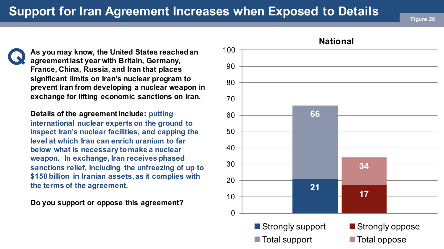# **Support for Iran Agreement Increases when Exposed to Details**

**As you may know, the United States reached an** 100 **agreement last year with Britain, Germany, France, China, Russia, and Iran that places significant limits on Iran's nuclear program to prevent Iran from developing a nuclear weapon in exchange for lifting economic sanctions on Iran.** 

**Details of the agreement include: putting international nuclear experts on the ground to inspect Iran's nuclear facilities, and capping the level at which Iran can enrich uranium to far below what is necessary to make a nuclear weapon. In exchange, Iran receives phased sanctions relief, including the unfreezing of up to \$150 billion in Iranian assets, as it complies with the terms of the agreement.**

**Do you support or oppose this agreement?** 

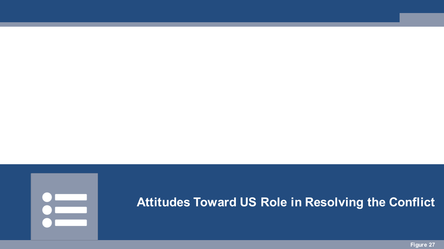# a a shekara

#### **Attitudes Toward US Role in Resolving the Conflict**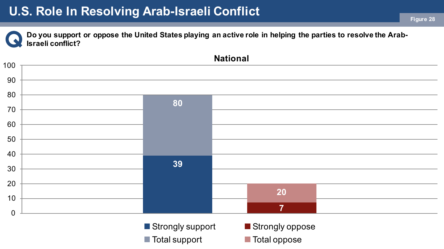#### **U.S. Role In Resolving Arab-Israeli Conflict**

**Do you support or oppose the United States playing an active role in helping the parties to resolve the Arab-Israeli conflict?**

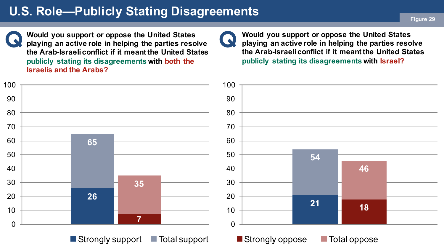# **U.S. Role—Publicly Stating Disagreements Figure 29**

**Would you support or oppose the United States playing an active role in helping the parties resolve the Arab-Israeli conflict if it meant the United States publicly stating its disagreements with both the Israelis and the Arabs?**

**Would you support or oppose the United States playing an active role in helping the parties resolve the Arab-Israeli conflict if it meant the United States publicly stating its disagreements with Israel?**



 $\omega$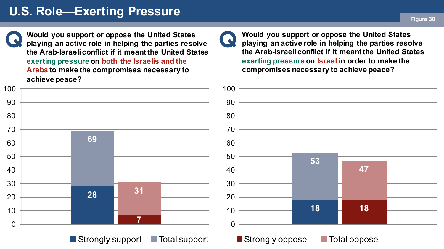# **U.S. Role—Exerting Pressure Figure 30**

**Would you support or oppose the United States playing an active role in helping the parties resolve the Arab-Israeli conflict if it meant the United States exerting pressure on both the Israelis and the Arabs to make the compromises necessary to achieve peace?**

**Would you support or oppose the United States playing an active role in helping the parties resolve the Arab-Israeli conflict if it meant the United States exerting pressure on Israel in order to make the compromises necessary to achieve peace?**



 $\bullet$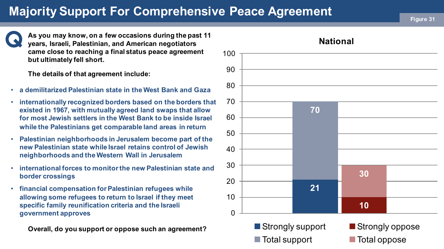# **Majority Support For Comprehensive Peace Agreement <b>Figure 31**

**As you may know, on a few occasions during the past 11 years, Israeli, Palestinian, and American negotiators came close to reaching a final status peace agreement but ultimately fell short.** 

**The details of that agreement include:**

- **a demilitarized Palestinian state in the West Bank and Gaza**
- **internationally recognized borders based on the borders that existed in 1967, with mutually agreed land swaps that allow for most Jewish settlers in the West Bank to be inside Israel while the Palestinians get comparable land areas in return**
- **Palestinian neighborhoods in Jerusalem become part of the new Palestinian state while Israel retains control of Jewish neighborhoods and the Western Wall in Jerusalem**
- **international forces to monitor the new Palestinian state and border crossings**
- **financial compensation for Palestinian refugees while allowing some refugees to return to Israel if they meet specific family reunification criteria and the Israeli government approves**

**Overall, do you support or oppose such an agreement?**

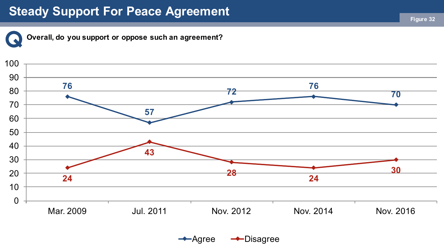#### **Steady Support For Peace Agreement**



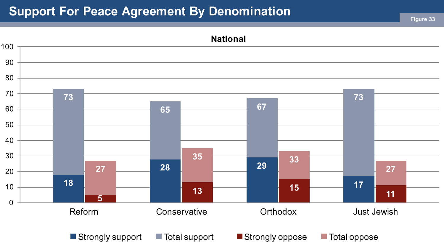# **Support For Peace Agreement By Denomination Figure 33**

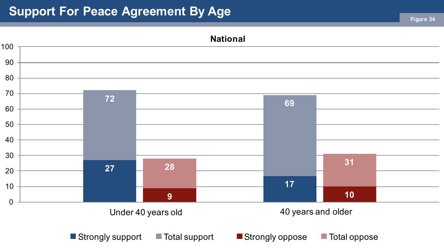# **Support For Peace Agreement By Age <b>Figure 34** Figure 34

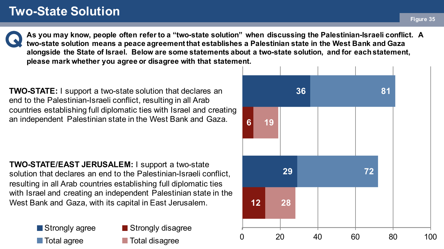#### **Two-State Solution**

**As you may know, people often refer to a "two-state solution" when discussing the Palestinian-Israeli conflict. A two-state solution means a peace agreement that establishes a Palestinian state in the West Bank and Gaza alongside the State of Israel. Below are some statements about a two-state solution, and for each statement, please mark whether you agree or disagree with that statement.**

**TWO-STATE:** I support a two-state solution that declares an end to the Palestinian-Israeli conflict, resulting in all Arab countries establishing full diplomatic ties with Israel and creating an independent Palestinian state in the West Bank and Gaza.

**TWO-STATE/EAST JERUSALEM:** I support a two-state solution that declares an end to the Palestinian-Israeli conflict, resulting in all Arab countries establishing full diplomatic ties with Israel and creating an independent Palestinian state in the West Bank and Gaza, with its capital in East Jerusalem.

> Strongly agree **■** Total agree

Strongly disagree **Total disagree** 

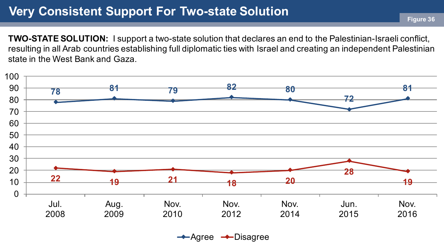#### **Very Consistent Support For Two-state Solution**

**TWO-STATE SOLUTION:** I support a two-state solution that declares an end to the Palestinian-Israeli conflict, resulting in all Arab countries establishing full diplomatic ties with Israel and creating an independent Palestinian state in the West Bank and Gaza.



 $\rightarrow$ Agree  $\rightarrow$ Disagree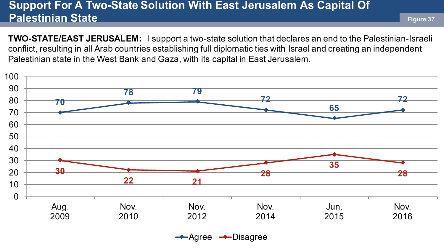#### **Support For A Two-State Solution With East Jerusalem As Capital Of Palestinian State**

**TWO-STATE/EAST JERUSALEM:** I support a two-state solution that declares an end to the Palestinian-Israeli conflict, resulting in all Arab countries establishing full diplomatic ties with Israel and creating an independent Palestinian state in the West Bank and Gaza, with its capital in East Jerusalem.



 $\rightarrow$ Agree  $\rightarrow$ Disagree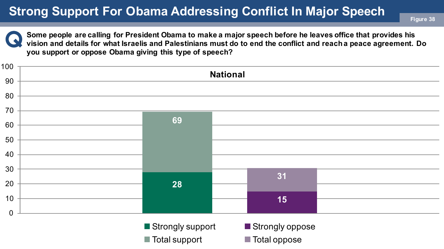# **Strong Support For Obama Addressing Conflict In Major Speech Figure 38**



**Some people are calling for President Obama to make a major speech before he leaves office that provides his vision and details for what Israelis and Palestinians must do to end the conflict and reach a peace agreement. Do you support or oppose Obama giving this type of speech?**

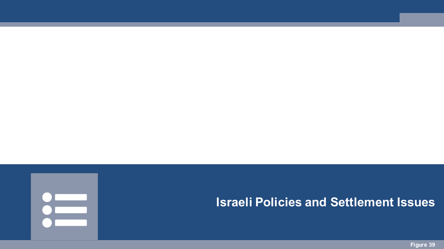

#### **Israeli Policies and Settlement Issues**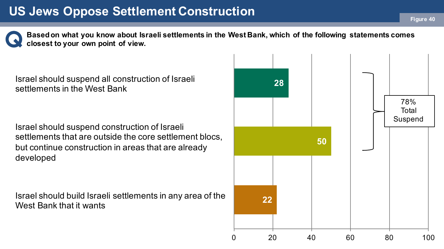# **US Jews Oppose Settlement Construction Figure 40**

**Based on what you know about Israeli settlements in the West Bank, which of the following statements comes closest to your own point of view.**

Israel should suspend all construction of Israeli settlements in the West Bank

Israel should suspend construction of Israeli settlements that are outside the core settlement blocs, but continue construction in areas that are already developed

Israel should build Israeli settlements in any area of the West Bank that it wants

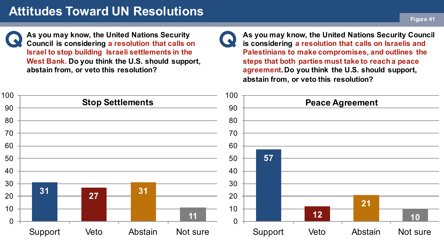#### **Attitudes Toward UN Resolutions**

**Figure 41**

**As you may know, the United Nations Security Council is considering a resolution that calls on Israel to stop building Israeli settlements in the West Bank. Do you think the U.S. should support, abstain from, or veto this resolution?**



**As you may know, the United Nations Security Council is considering a resolution that calls on Israelis and Palestinians to make compromises, and outlines the steps that both parties must take to reach a peace agreement. Do you think the U.S. should support, abstain from, or veto this resolution?**

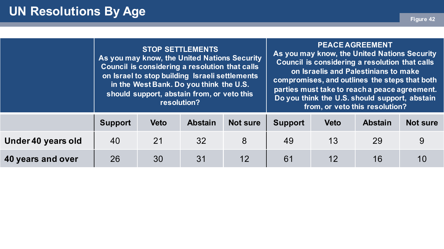|                    |                | <b>STOP SETTLEMENTS</b><br>As you may know, the United Nations Security<br>Council is considering a resolution that calls<br>on Israel to stop building Israeli settlements<br>in the West Bank. Do you think the U.S.<br>should support, abstain from, or veto this<br>resolution? |                |                 | <b>PEACE AGREEMENT</b><br>As you may know, the United Nations Security<br>Council is considering a resolution that calls<br>on Israelis and Palestinians to make<br>compromises, and outlines the steps that both<br>parties must take to reach a peace agreement.<br>Do you think the U.S. should support, abstain<br>from, or veto this resolution? |             |                |                 |
|--------------------|----------------|-------------------------------------------------------------------------------------------------------------------------------------------------------------------------------------------------------------------------------------------------------------------------------------|----------------|-----------------|-------------------------------------------------------------------------------------------------------------------------------------------------------------------------------------------------------------------------------------------------------------------------------------------------------------------------------------------------------|-------------|----------------|-----------------|
|                    | <b>Support</b> | <b>Veto</b>                                                                                                                                                                                                                                                                         | <b>Abstain</b> | <b>Not sure</b> | <b>Support</b>                                                                                                                                                                                                                                                                                                                                        | <b>Veto</b> | <b>Abstain</b> | <b>Not sure</b> |
| Under 40 years old | 40             | 21                                                                                                                                                                                                                                                                                  | 32             | 8               | 49                                                                                                                                                                                                                                                                                                                                                    | 13          | 29             | 9               |
| 40 years and over  | 26             | 30                                                                                                                                                                                                                                                                                  | 31             | 12              | 61                                                                                                                                                                                                                                                                                                                                                    | 12          | 16             | 10              |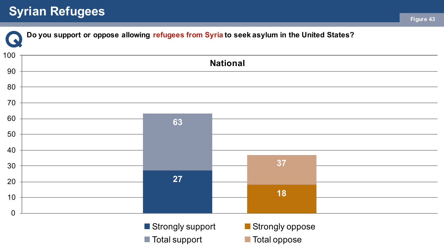# **Syrian Refugees Figure 43**

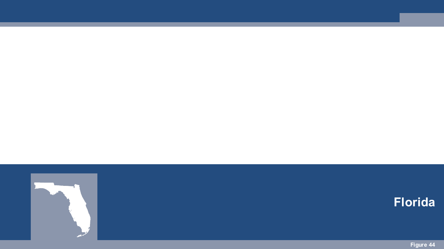

#### **Florida**

**Figure 44**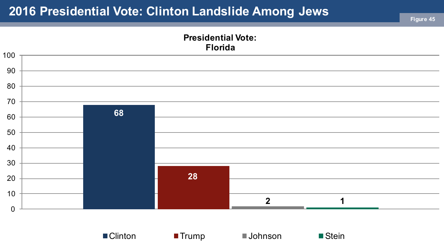# **2016 Presidential Vote: Clinton Landslide Among Jews**



■ Clinton ■ Trump ■ Johnson ■ Stein

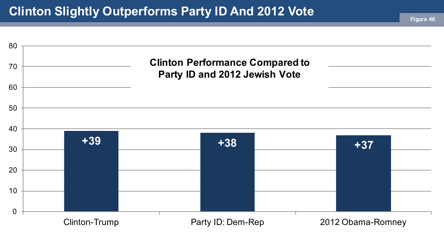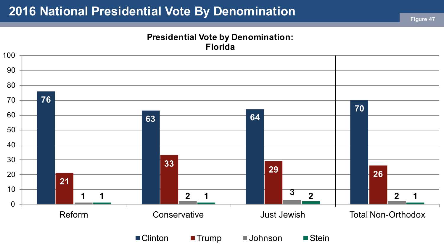#### **2016 National Presidential Vote By Denomination**

#### **Presidential Vote by Denomination: Florida**

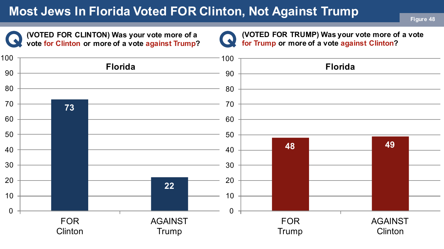# **Most Jews In Florida Voted FOR Clinton, Not Against Trump**

**(VOTED FOR CLINTON) Was your vote more of a vote for Clinton or more of a vote against Trump?**

**(VOTED FOR TRUMP) Was your vote more of a vote**  Q **for Trump or more of a vote against Clinton?**

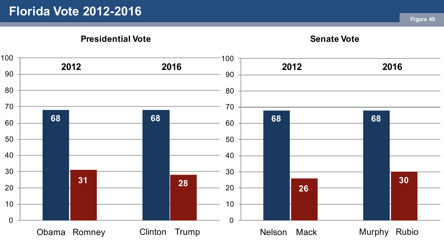#### **Florida Vote 2012-2016**

**Presidential Vote**

**Senate Vote**

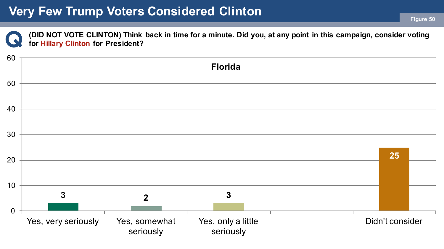# **Very Few Trump Voters Considered Clinton Figure 50**

**(DID NOT VOTE CLINTON) Think back in time for a minute. Did you, at any point in this campaign, consider voting for Hillary Clinton for President?**

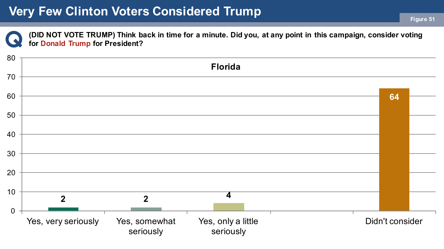**(DID NOT VOTE TRUMP) Think back in time for a minute. Did you, at any point in this campaign, consider voting for Donald Trump for President?**

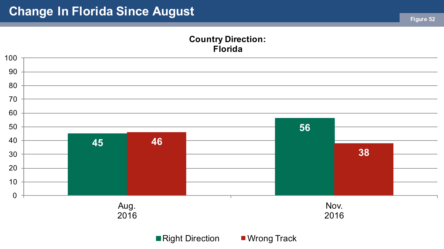#### **Country Direction: Florida**



■Right Direction ■ Wrong Track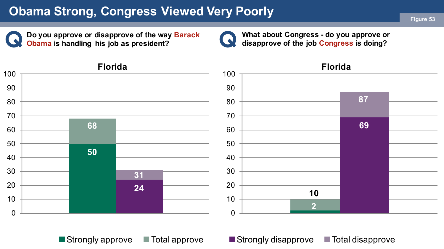# **Obama Strong, Congress Viewed Very Poorly Figure 53**

**Do you approve or disapprove of the way Barack Obama is handling his job as president?**



**What about Congress - do you approve or disapprove of the job Congress is doing?**



 $\blacksquare$  Strongly approve  $\blacksquare$  Total approve  $\blacksquare$  Strongly disapprove  $\blacksquare$  Total disapprove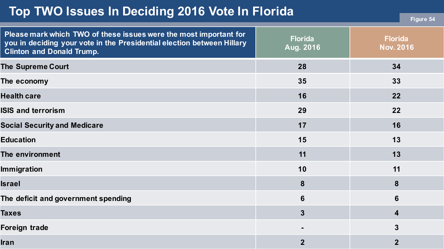#### **Top TWO Issues In Deciding 2016 Vote In Florida**

|  |  | Figure 54 |
|--|--|-----------|
|  |  |           |

| Please mark which TWO of these issues were the most important for<br>you in deciding your vote in the Presidential election between Hillary<br><b>Clinton and Donald Trump.</b> | <b>Florida</b><br>Aug. 2016 | <b>Florida</b><br><b>Nov. 2016</b> |
|---------------------------------------------------------------------------------------------------------------------------------------------------------------------------------|-----------------------------|------------------------------------|
| <b>The Supreme Court</b>                                                                                                                                                        | 28                          | 34                                 |
| The economy                                                                                                                                                                     | 35                          | 33                                 |
| <b>Health care</b>                                                                                                                                                              | 16                          | 22                                 |
| <b>ISIS and terrorism</b>                                                                                                                                                       | 29                          | 22                                 |
| <b>Social Security and Medicare</b>                                                                                                                                             | 17                          | 16                                 |
| <b>Education</b>                                                                                                                                                                | 15                          | 13                                 |
| The environment                                                                                                                                                                 | 11                          | 13                                 |
| <b>Immigration</b>                                                                                                                                                              | 10                          | 11                                 |
| <b>Israel</b>                                                                                                                                                                   | 8                           | 8                                  |
| The deficit and government spending                                                                                                                                             | $6\phantom{1}6$             | 6                                  |
| <b>Taxes</b>                                                                                                                                                                    | $\overline{3}$              | 4                                  |
| Foreign trade                                                                                                                                                                   |                             | $\mathbf{3}$                       |
| <b>Iran</b>                                                                                                                                                                     | $\overline{2}$              | $\overline{2}$                     |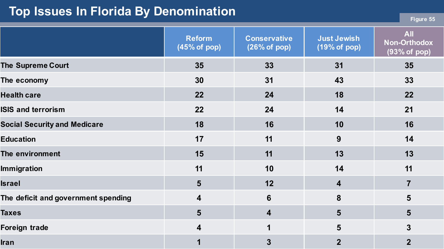#### **Top Issues In Florida By Denomination**

|  | -raure |  |
|--|--------|--|
|  |        |  |

|                                     | <b>Reform</b><br>(45% of pop) | <b>Conservative</b><br>(26% of pop) | <b>Just Jewish</b><br>(19% of pop) | <b>All</b><br><b>Non-Orthodox</b><br>(93% of pop) |
|-------------------------------------|-------------------------------|-------------------------------------|------------------------------------|---------------------------------------------------|
| <b>The Supreme Court</b>            | 35                            | 33                                  | 31                                 | 35                                                |
| The economy                         | 30                            | 31                                  | 43                                 | 33                                                |
| <b>Health care</b>                  | 22                            | 24                                  | 18                                 | 22                                                |
| <b>ISIS and terrorism</b>           | 22                            | 24                                  | 14                                 | 21                                                |
| <b>Social Security and Medicare</b> | 18                            | 16                                  | 10                                 | 16                                                |
| <b>Education</b>                    | 17                            | 11                                  | 9                                  | 14                                                |
| The environment                     | 15                            | 11                                  | 13                                 | 13                                                |
| Immigration                         | 11                            | 10                                  | 14                                 | 11                                                |
| <b>Israel</b>                       | 5                             | 12                                  | $\overline{\mathbf{4}}$            | $\overline{7}$                                    |
| The deficit and government spending | 4                             | $6\phantom{1}6$                     | 8                                  | $5\phantom{1}$                                    |
| <b>Taxes</b>                        | 5                             | $\overline{\mathbf{4}}$             | 5                                  | $5\phantom{1}$                                    |
| <b>Foreign trade</b>                | $\overline{\mathbf{4}}$       | 1                                   | 5                                  | $\overline{3}$                                    |
| <b>Iran</b>                         |                               | $\overline{3}$                      | $\overline{2}$                     | $\overline{2}$                                    |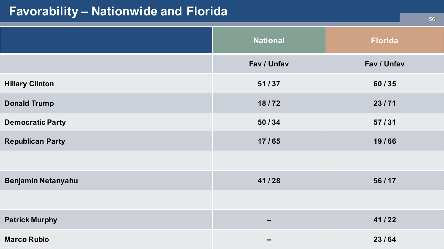## **Favorability – Nationwide and Florida**

|                         | <b>National</b> | <b>Florida</b> |
|-------------------------|-----------------|----------------|
|                         | Fav / Unfav     | Fav / Unfav    |
| <b>Hillary Clinton</b>  | 51/37           | 60/35          |
| <b>Donald Trump</b>     | 18/72           | 23/71          |
| <b>Democratic Party</b> | 50/34           | 57/31          |
| <b>Republican Party</b> | 17/65           | 19/66          |
|                         |                 |                |
| Benjamin Netanyahu      | 41/28           | 56/17          |
|                         |                 |                |
| <b>Patrick Murphy</b>   | $\mathbf{m}$    | 41/22          |
| <b>Marco Rubio</b>      | $\blacksquare$  | 23/64          |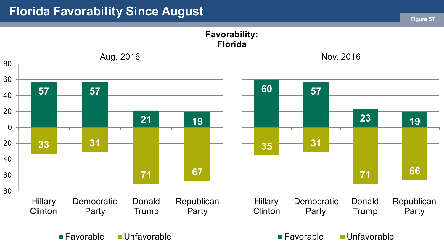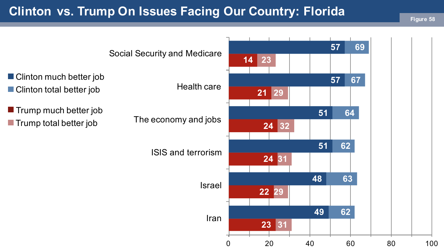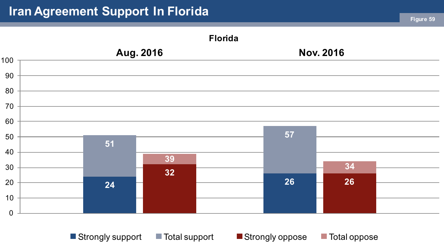# **Iran Agreement Support In Florida Figure 59**



■ Strongly support ■ Total support ■ Strongly oppose ■ Total oppose

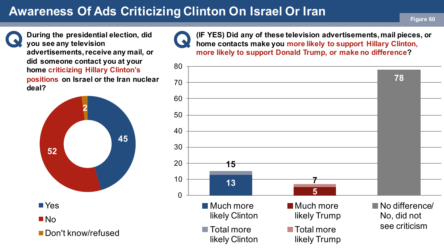# **Awareness Of Ads Criticizing Clinton On Israel Or Iran <b>Figure 60**

**During the presidential election, did you see any television advertisements, receive any mail, or did someone contact you at your home criticizing Hillary Clinton's positions on Israel or the Iran nuclear deal?**





**(IF YES) Did any of these television advertisements, mail pieces, or home contacts make you more likely to support Hillary Clinton, more likely to support Donald Trump, or make no difference?**

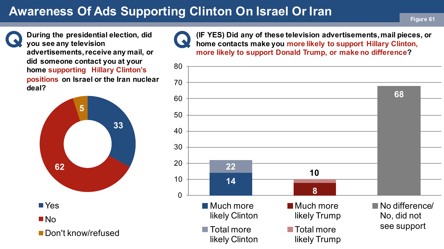# **Awareness Of Ads Supporting Clinton On Israel Or Iran Figure 61**

**During the presidential election, did you see any television advertisements, receive any mail, or did someone contact you at your home supporting Hillary Clinton's positions on Israel or the Iran nuclear deal?**





**(IF YES) Did any of these television advertisements, mail pieces, or home contacts make you more likely to support Hillary Clinton, more likely to support Donald Trump, or make no difference?**

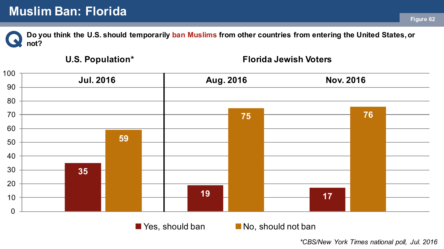**Do you think the U.S. should temporarily ban Muslims from other countries from entering the United States, or not?**

#### **U.S. Population\***

#### **Florida Jewish Voters**



 $\blacksquare$  Yes, should ban  $\blacksquare$  No, should not ban

*\*CBS/New York Times national poll, Jul. 2016*